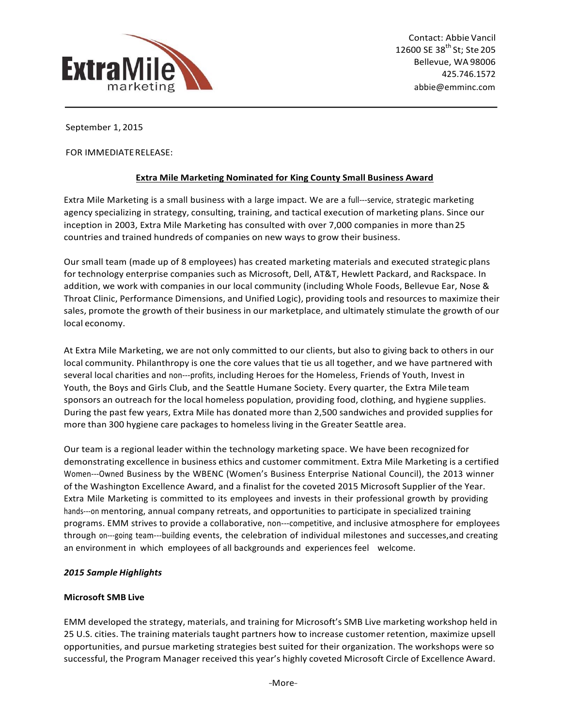

September 1, 2015

FOR IMMEDIATE RELEASE:

# **Extra Mile Marketing Nominated for King County Small Business Award**

Extra Mile Marketing is a small business with a large impact. We are a full---service, strategic marketing agency specializing in strategy, consulting, training, and tactical execution of marketing plans. Since our inception in 2003, Extra Mile Marketing has consulted with over 7,000 companies in more than 25 countries and trained hundreds of companies on new ways to grow their business.

Our small team (made up of 8 employees) has created marketing materials and executed strategic plans for technology enterprise companies such as Microsoft, Dell, AT&T, Hewlett Packard, and Rackspace. In addition, we work with companies in our local community (including Whole Foods, Bellevue Ear, Nose & Throat Clinic, Performance Dimensions, and Unified Logic), providing tools and resources to maximize their sales, promote the growth of their business in our marketplace, and ultimately stimulate the growth of our local economy.

At Extra Mile Marketing, we are not only committed to our clients, but also to giving back to others in our local community. Philanthropy is one the core values that tie us all together, and we have partnered with several local charities and non---profits, including Heroes for the Homeless, Friends of Youth, Invest in Youth, the Boys and Girls Club, and the Seattle Humane Society. Every quarter, the Extra Mile team sponsors an outreach for the local homeless population, providing food, clothing, and hygiene supplies. During the past few years, Extra Mile has donated more than 2,500 sandwiches and provided supplies for more than 300 hygiene care packages to homeless living in the Greater Seattle area.

Our team is a regional leader within the technology marketing space. We have been recognized for demonstrating excellence in business ethics and customer commitment. Extra Mile Marketing is a certified Women---Owned Business by the WBENC (Women's Business Enterprise National Council), the 2013 winner of the Washington Excellence Award, and a finalist for the coveted 2015 Microsoft Supplier of the Year. Extra Mile Marketing is committed to its employees and invests in their professional growth by providing hands---on mentoring, annual company retreats, and opportunities to participate in specialized training programs. EMM strives to provide a collaborative, non---competitive, and inclusive atmosphere for employees through on---going team---building events, the celebration of individual milestones and successes, and creating an environment in which employees of all backgrounds and experiences feel welcome.

# *2015 Sample Highlights*

#### **Microsoft SMB Live**

EMM developed the strategy, materials, and training for Microsoft's SMB Live marketing workshop held in 25 U.S. cities. The training materials taught partners how to increase customer retention, maximize upsell opportunities, and pursue marketing strategies best suited for their organization. The workshops were so successful, the Program Manager received this year's highly coveted Microsoft Circle of Excellence Award.